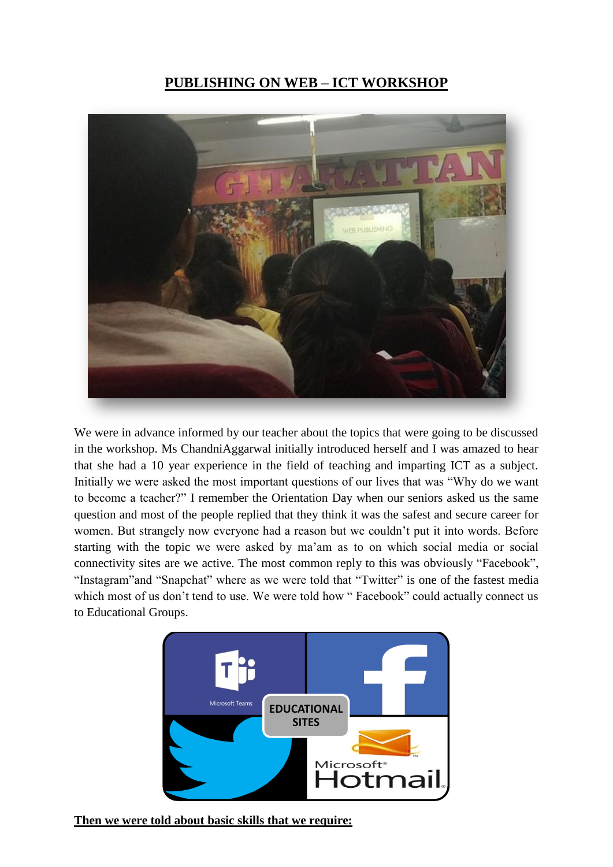## **PUBLISHING ON WEB – ICT WORKSHOP**



We were in advance informed by our teacher about the topics that were going to be discussed in the workshop. Ms ChandniAggarwal initially introduced herself and I was amazed to hear that she had a 10 year experience in the field of teaching and imparting ICT as a subject. Initially we were asked the most important questions of our lives that was "Why do we want to become a teacher?" I remember the Orientation Day when our seniors asked us the same question and most of the people replied that they think it was the safest and secure career for women. But strangely now everyone had a reason but we couldn't put it into words. Before starting with the topic we were asked by ma'am as to on which social media or social connectivity sites are we active. The most common reply to this was obviously "Facebook", "Instagram"and "Snapchat" where as we were told that "Twitter" is one of the fastest media which most of us don't tend to use. We were told how " Facebook" could actually connect us to Educational Groups.



**Then we were told about basic skills that we require:**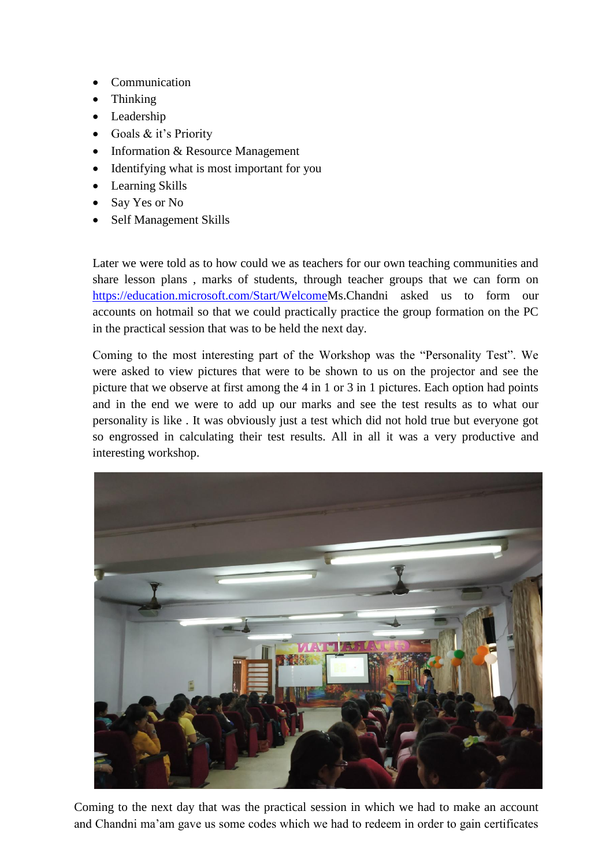- Communication
- Thinking
- Leadership
- Goals & it's Priority
- Information & Resource Management
- Identifying what is most important for you
- Learning Skills
- Say Yes or No
- Self Management Skills

Later we were told as to how could we as teachers for our own teaching communities and share lesson plans , marks of students, through teacher groups that we can form on [https://education.microsoft.com/Start/WelcomeM](https://education.microsoft.com/Start/Welcome)s.Chandni asked us to form our accounts on hotmail so that we could practically practice the group formation on the PC in the practical session that was to be held the next day.

Coming to the most interesting part of the Workshop was the "Personality Test". We were asked to view pictures that were to be shown to us on the projector and see the picture that we observe at first among the 4 in 1 or 3 in 1 pictures. Each option had points and in the end we were to add up our marks and see the test results as to what our personality is like . It was obviously just a test which did not hold true but everyone got so engrossed in calculating their test results. All in all it was a very productive and interesting workshop.



Coming to the next day that was the practical session in which we had to make an account and Chandni ma'am gave us some codes which we had to redeem in order to gain certificates